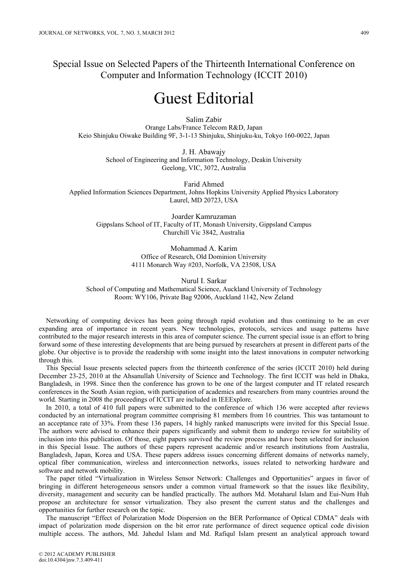Special Issue on Selected Papers of the Thirteenth International Conference on Computer and Information Technology (ICCIT 2010)

## Guest Editorial

Salim Zabir Orange Labs/France Telecom R&D, Japan Keio Shinjuku Oiwake Building 9F, 3-1-13 Shinjuku, Shinjuku-ku, Tokyo 160-0022, Japan

> J. H. Abawajy School of Engineering and Information Technology, Deakin University Geelong, VIC, 3072, Australia

Farid Ahmed Applied Information Sciences Department, Johns Hopkins University Applied Physics Laboratory Laurel, MD 20723, USA

Joarder Kamruzaman Gippslans School of IT, Faculty of IT, Monash University, Gippsland Campus Churchill Vic 3842, Australia

> Mohammad A. Karim Office of Research, Old Dominion University 4111 Monarch Way #203, Norfolk, VA 23508, USA

Nurul I. Sarkar School of Computing and Mathematical Science, Auckland University of Technology Room: WY106, Private Bag 92006, Auckland 1142, New Zeland

Networking of computing devices has been going through rapid evolution and thus continuing to be an ever expanding area of importance in recent years. New technologies, protocols, services and usage patterns have contributed to the major research interests in this area of computer science. The current special issue is an effort to bring forward some of these interesting developments that are being pursued by researchers at present in different parts of the globe. Our objective is to provide the readership with some insight into the latest innovations in computer networking through this.

This Special Issue presents selected papers from the thirteenth conference of the series (ICCIT 2010) held during December 23-25, 2010 at the Ahsanullah University of Science and Technology. The first ICCIT was held in Dhaka, Bangladesh, in 1998. Since then the conference has grown to be one of the largest computer and IT related research conferences in the South Asian region, with participation of academics and researchers from many countries around the world. Starting in 2008 the proceedings of ICCIT are included in IEEExplore.

In 2010, a total of 410 full papers were submitted to the conference of which 136 were accepted after reviews conducted by an international program committee comprising 81 members from 16 countries. This was tantamount to an acceptance rate of 33%. From these 136 papers, 14 highly ranked manuscripts were invited for this Special Issue. The authors were advised to enhance their papers significantly and submit them to undergo review for suitability of inclusion into this publication. Of those, eight papers survived the review process and have been selected for inclusion in this Special Issue. The authors of these papers represent academic and/or research institutions from Australia, Bangladesh, Japan, Korea and USA. These papers address issues concerning different domains of networks namely, optical fiber communication, wireless and interconnection networks, issues related to networking hardware and software and network mobility.

The paper titled "Virtualization in Wireless Sensor Network: Challenges and Opportunities" argues in favor of bringing in different heterogeneous sensors under a common virtual framework so that the issues like flexibility, diversity, management and security can be handled practically. The authors Md. Motaharul Islam and Eui-Num Huh propose an architecture for sensor virtualization. They also present the current status and the challenges and opportunities for further research on the topic.

The manuscript "Effect of Polarization Mode Dispersion on the BER Performance of Optical CDMA" deals with impact of polarization mode dispersion on the bit error rate performance of direct sequence optical code division multiple access. The authors, Md. Jahedul Islam and Md. Rafiqul Islam present an analytical approach toward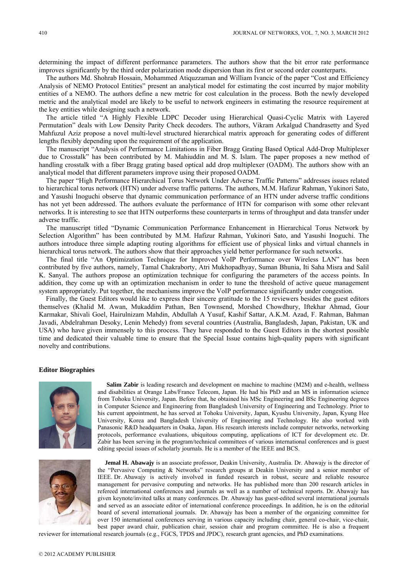determining the impact of different performance parameters. The authors show that the bit error rate performance improves significantly by the third order polarization mode dispersion than its first or second order counterparts.

The authors Md. Shohrab Hossain, Mohammed Atiquzzaman and William Ivancic of the paper "Cost and Efficiency Analysis of NEMO Protocol Entities" present an analytical model for estimating the cost incurred by major mobility entities of a NEMO. The authors define a new metric for cost calculation in the process. Both the newly developed metric and the analytical model are likely to be useful to network engineers in estimating the resource requirement at the key entities while designing such a network.

The article titled "A Highly Flexible LDPC Decoder using Hierarchical Quasi-Cyclic Matrix with Layered Permutation" deals with Low Density Parity Check decoders. The authors, Vikram Arkalgud Chandrasetty and Syed Mahfuzul Aziz propose a novel multi-level structured hierarchical matrix approach for generating codes of different lengths flexibly depending upon the requirement of the application.

The manuscript "Analysis of Performance Limitations in Fiber Bragg Grating Based Optical Add-Drop Multiplexer due to Crosstalk" has been contributed by M. Mahiuddin and M. S. Islam. The paper proposes a new method of handling crosstalk with a fiber Bragg grating based optical add drop multiplexer (OADM). The authors show with an analytical model that different parameters improve using their proposed OADM.

The paper "High Performance Hierarchical Torus Network Under Adverse Traffic Patterns" addresses issues related to hierarchical torus network (HTN) under adverse traffic patterns. The authors, M.M. Hafizur Rahman, Yukinori Sato, and Yasushi Inoguchi observe that dynamic communication performance of an HTN under adverse traffic conditions has not yet been addressed. The authors evaluate the performance of HTN for comparison with some other relevant networks. It is interesting to see that HTN outperforms these counterparts in terms of throughput and data transfer under adverse traffic.

The manuscript titled "Dynamic Communication Performance Enhancement in Hierarchical Torus Network by Selection Algorithm" has been contributed by M.M. Hafizur Rahman, Yukinori Sato, and Yasushi Inoguchi. The authors introduce three simple adapting routing algorithms for efficient use of physical links and virtual channels in hierarchical torus network. The authors show that their approaches yield better performance for such networks.

The final title "An Optimization Technique for Improved VoIP Performance over Wireless LAN" has been contributed by five authors, namely, Tamal Chakraborty, Atri Mukhopadhyay, Suman Bhunia, Iti Saha Misra and Salil K. Sanyal. The authors propose an optimization technique for configuring the parameters of the access points. In addition, they come up with an optimization mechanism in order to tune the threshold of active queue management system appropriately. Put together, the mechanisms improve the VoIP performance significantly under congestion.

Finally, the Guest Editors would like to express their sincere gratitude to the 15 reviewers besides the guest editors themselves (Khalid M. Awan, Mukaddim Pathan, Ben Townsend, Morshed Chowdhury, Iftekhar Ahmad, Gour Karmakar, Shivali Goel, Hairulnizam Mahdin, Abdullah A Yusuf, Kashif Sattar, A.K.M. Azad, F. Rahman, Bahman Javadi, Abdelrahman Desoky, Lenin Mehedy) from several countries (Australia, Bangladesh, Japan, Pakistan, UK and USA) who have given immensely to this process. They have responded to the Guest Editors in the shortest possible time and dedicated their valuable time to ensure that the Special Issue contains high-quality papers with significant novelty and contributions.

## **Editor Biographies**



**Salim Zabir** is leading research and development on machine to machine (M2M) and e-health, wellness and disabilities at Orange Labs/France Telecom, Japan. He had his PhD and an MS in information science from Tohoku University, Japan. Before that, he obtained his MSc Engineering and BSc Engineering degrees in Computer Science and Engineering from Bangladesh University of Engineering and Technology. Prior to his current appointment, he has served at Tohoku University, Japan, Kyushu University, Japan, Kyung Hee University, Korea and Bangladesh University of Engineering and Technology. He also worked with Panasonic R&D headquarters in Osaka, Japan. His research interests include computer networks, networking protocols, performance evaluations, ubiquitous computing, applications of ICT for development etc. Dr. Zabir has been serving in the program/technical committees of various international conferences and is guest editing special issues of scholarly journals. He is a member of the IEEE and BCS.



**Jemal H. Abawajy** is an associate professor, Deakin University, Australia. Dr. Abawajy is the director of the "Pervasive Computing & Networks" research groups at Deakin University and a senior member of IEEE. Dr. Abawajy is actively involved in funded research in robust, secure and reliable resource management for pervasive computing and networks. He has published more than 200 research articles in refereed international conferences and journals as well as a number of technical reports. Dr. Abawajy has given keynote/invited talks at many conferences. Dr. Abawajy has guest-edited several international journals and served as an associate editor of international conference proceedings. In addition, he is on the editorial board of several international journals. Dr. Abawajy has been a member of the organizing committee for over 150 international conferences serving in various capacity including chair, general co-chair, vice-chair, best paper award chair, publication chair, session chair and program committee. He is also a frequent

reviewer for international research journals (e.g., FGCS, TPDS and JPDC), research grant agencies, and PhD examinations.